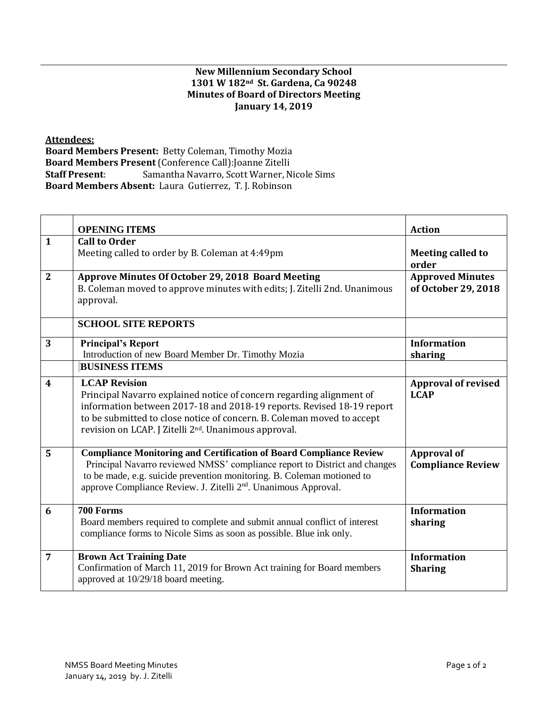## **New Millennium Secondary School 1301 W 182nd St. Gardena, Ca 90248 Minutes of Board of Directors Meeting January 14, 2019**

**Attendees:** 

**Board Members Present:** Betty Coleman, Timothy Mozia **Board Members Present** (Conference Call):Joanne Zitelli **Staff Present**: Samantha Navarro, Scott Warner, Nicole Sims **Board Members Absent:** Laura Gutierrez, T. J. Robinson

|                | <b>OPENING ITEMS</b>                                                                                                                                                                                                                                                                                                 | <b>Action</b>                                  |
|----------------|----------------------------------------------------------------------------------------------------------------------------------------------------------------------------------------------------------------------------------------------------------------------------------------------------------------------|------------------------------------------------|
| $\mathbf{1}$   | <b>Call to Order</b><br>Meeting called to order by B. Coleman at 4:49pm                                                                                                                                                                                                                                              | <b>Meeting called to</b><br>order              |
| $\overline{2}$ | Approve Minutes Of October 29, 2018 Board Meeting<br>B. Coleman moved to approve minutes with edits; J. Zitelli 2nd. Unanimous<br>approval.                                                                                                                                                                          | <b>Approved Minutes</b><br>of October 29, 2018 |
|                | <b>SCHOOL SITE REPORTS</b>                                                                                                                                                                                                                                                                                           |                                                |
| 3              | <b>Principal's Report</b><br>Introduction of new Board Member Dr. Timothy Mozia                                                                                                                                                                                                                                      | <b>Information</b><br>sharing                  |
|                | <b>BUSINESS ITEMS</b>                                                                                                                                                                                                                                                                                                |                                                |
| 4              | <b>LCAP Revision</b><br>Principal Navarro explained notice of concern regarding alignment of<br>information between 2017-18 and 2018-19 reports. Revised 18-19 report<br>to be submitted to close notice of concern. B. Coleman moved to accept<br>revision on LCAP. J Zitelli 2 <sup>nd</sup> . Unanimous approval. | <b>Approval of revised</b><br><b>LCAP</b>      |
| 5              | <b>Compliance Monitoring and Certification of Board Compliance Review</b><br>Principal Navarro reviewed NMSS' compliance report to District and changes<br>to be made, e.g. suicide prevention monitoring. B. Coleman motioned to<br>approve Compliance Review. J. Zitelli 2 <sup>nd</sup> . Unanimous Approval.     | <b>Approval of</b><br><b>Compliance Review</b> |
| 6              | 700 Forms<br>Board members required to complete and submit annual conflict of interest<br>compliance forms to Nicole Sims as soon as possible. Blue ink only.                                                                                                                                                        | <b>Information</b><br>sharing                  |
| 7              | <b>Brown Act Training Date</b><br>Confirmation of March 11, 2019 for Brown Act training for Board members<br>approved at 10/29/18 board meeting.                                                                                                                                                                     | <b>Information</b><br><b>Sharing</b>           |